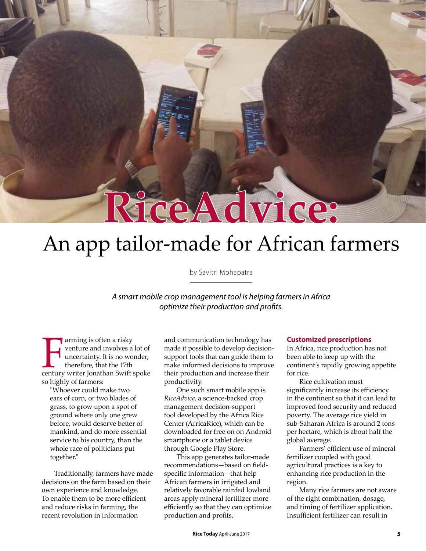# An app tailor-made for African farmers

**RiceAdvice:**

by Savitri Mohapatra

*A smart mobile crop management tool is helping farmers in Africa optimize their production and profits.* 

Framing is often a risky<br>
venture and involves a lot of<br>
uncertainty. It is no wonder,<br>
therefore, that the 17th<br>
century writer Jonathan Swift spoke arming is often a risky venture and involves a lot of uncertainty. It is no wonder, therefore, that the 17th so highly of farmers:

"Whoever could make two ears of corn, or two blades of grass, to grow upon a spot of ground where only one grew before, would deserve better of mankind, and do more essential service to his country, than the whole race of politicians put together."

Traditionally, farmers have made decisions on the farm based on their own experience and knowledge. To enable them to be more efficient and reduce risks in farming, the recent revolution in information

and communication technology has made it possible to develop decisionsupport tools that can guide them to make informed decisions to improve their production and increase their productivity.

One such smart mobile app is *RiceAdvice*, a science-backed crop management decision-support tool developed by the Africa Rice Center (AfricaRice), which can be downloaded for free on on Android smartphone or a tablet device through Google Play Store.

This app generates tailor-made recommendations—based on fieldspecific information—that help African farmers in irrigated and relatively favorable rainfed lowland areas apply mineral fertilizer more efficiently so that they can optimize production and profits.

#### **Customized prescriptions**

In Africa, rice production has not been able to keep up with the continent's rapidly growing appetite for rice.

Rice cultivation must significantly increase its efficiency in the continent so that it can lead to improved food security and reduced poverty. The average rice yield in sub-Saharan Africa is around 2 tons per hectare, which is about half the global average.

Farmers' efficient use of mineral fertilizer coupled with good agricultural practices is a key to enhancing rice production in the region.

Many rice farmers are not aware of the right combination, dosage, and timing of fertilizer application. Insufficient fertilizer can result in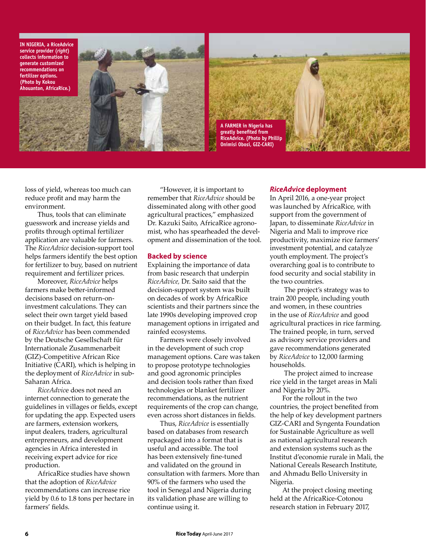**IN NIGERIA, a RiceAdvice service provider (***right***) collects information to generate customized recommendations on fertilizer options. (Photo by Kokou Ahouanton, AfricaRice.)**





loss of yield, whereas too much can reduce profit and may harm the environment.

Thus, tools that can eliminate guesswork and increase yields and profits through optimal fertilizer application are valuable for farmers. The *RiceAdvice* decision-support tool helps farmers identify the best option for fertilizer to buy, based on nutrient requirement and fertilizer prices.

Moreover, *RiceAdvice* helps farmers make better-informed decisions based on return-oninvestment calculations. They can select their own target yield based on their budget. In fact, this feature of *RiceAdvice* has been commended by the Deutsche Gesellschaft für Internationale Zusammenarbeit (GIZ)-Competitive African Rice Initiative (CARI), which is helping in the deployment of *RiceAdvice* in sub-Saharan Africa.

*RiceAdvic*e does not need an internet connection to generate the guidelines in villages or fields, except for updating the app. Expected users are farmers, extension workers, input dealers, traders, agricultural entrepreneurs, and development agencies in Africa interested in receiving expert advice for rice production.

AfricaRice studies have shown that the adoption of *RiceAdvice* recommendations can increase rice yield by 0.6 to 1.8 tons per hectare in farmers' fields.

"However, it is important to remember that *RiceAdvice* should be disseminated along with other good agricultural practices," emphasized Dr. Kazuki Saito, AfricaRice agronomist, who has spearheaded the development and dissemination of the tool.

# **Backed by science**

Explaining the importance of data from basic research that underpin *RiceAdvice,* Dr. Saito said that the decision-support system was built on decades of work by AfricaRice scientists and their partners since the late 1990s developing improved crop management options in irrigated and rainfed ecosystems.

Farmers were closely involved in the development of such crop management options. Care was taken to propose prototype technologies and good agronomic principles and decision tools rather than fixed technologies or blanket fertilizer recommendations, as the nutrient requirements of the crop can change, even across short distances in fields.

Thus, *RiceAdvice* is essentially based on databases from research repackaged into a format that is useful and accessible. The tool has been extensively fine-tuned and validated on the ground in consultation with farmers. More than 90% of the farmers who used the tool in Senegal and Nigeria during its validation phase are willing to continue using it.

## *RiceAdvice* **deployment**

In April 2016, a one-year project was launched by AfricaRice, with support from the government of Japan, to disseminate *RiceAdvice* in Nigeria and Mali to improve rice productivity, maximize rice farmers' investment potential, and catalyze youth employment. The project's overarching goal is to contribute to food security and social stability in the two countries.

 The project's strategy was to train 200 people, including youth and women, in these countries in the use of *RiceAdvice* and good agricultural practices in rice farming. The trained people, in turn, served as advisory service providers and gave recommendations generated by *RiceAdvice* to 12,000 farming households.

 The project aimed to increase rice yield in the target areas in Mali and Nigeria by 20%.

For the rollout in the two countries, the project benefited from the help of key development partners GIZ-CARI and Syngenta Foundation for Sustainable Agriculture as well as national agricultural research and extension systems such as the Institut d'economie rurale in Mali, the National Cereals Research Institute, and Ahmadu Bello University in Nigeria.

At the project closing meeting held at the AfricaRice-Cotonou research station in February 2017,